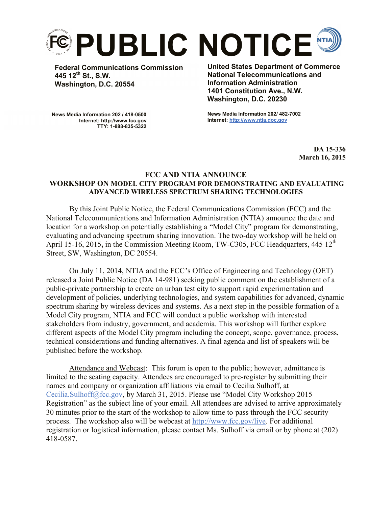

**Federal Communications Commission 445 12th St., S.W. Washington, D.C. 20554**

**United States Department of Commerce National Telecommunications and Information Administration 1401 Constitution Ave., N.W. Washington, D.C. 20230**

**News Media Information 202 / 418-0500 Internet: http://www.fcc.gov TTY: 1-888-835-5322**

**News Media Information 202/ 482-7002 Internet: http://www.ntia.doc.gov**

> **DA 15-336 March 16, 2015**

## **FCC AND NTIA ANNOUNCE WORKSHOP ON MODEL CITY PROGRAM FOR DEMONSTRATING AND EVALUATING ADVANCED WIRELESS SPECTRUM SHARING TECHNOLOGIES**

By this Joint Public Notice, the Federal Communications Commission (FCC) and the National Telecommunications and Information Administration (NTIA) announce the date and location for a workshop on potentially establishing a "Model City" program for demonstrating, evaluating and advancing spectrum sharing innovation. The two-day workshop will be held on April 15-16, 2015, in the Commission Meeting Room, TW-C305, FCC Headquarters, 445 12<sup>th</sup> Street, SW, Washington, DC 20554.

On July 11, 2014, NTIA and the FCC's Office of Engineering and Technology (OET) released a Joint Public Notice (DA 14-981) seeking public comment on the establishment of a public-private partnership to create an urban test city to support rapid experimentation and development of policies, underlying technologies, and system capabilities for advanced, dynamic spectrum sharing by wireless devices and systems. As a next step in the possible formation of a Model City program, NTIA and FCC will conduct a public workshop with interested stakeholders from industry, government, and academia. This workshop will further explore different aspects of the Model City program including the concept, scope, governance, process, technical considerations and funding alternatives. A final agenda and list of speakers will be published before the workshop.

Attendance and Webcast: This forum is open to the public; however, admittance is limited to the seating capacity. Attendees are encouraged to pre-register by submitting their names and company or organization affiliations via email to Cecilia Sulhoff, at Cecilia.Sulhoff@fcc.gov, by March 31, 2015. Please use "Model City Workshop 2015 Registration" as the subject line of your email. All attendees are advised to arrive approximately 30 minutes prior to the start of the workshop to allow time to pass through the FCC security process. The workshop also will be webcast at http://www.fcc.gov/live. For additional registration or logistical information, please contact Ms. Sulhoff via email or by phone at (202) 418-0587.